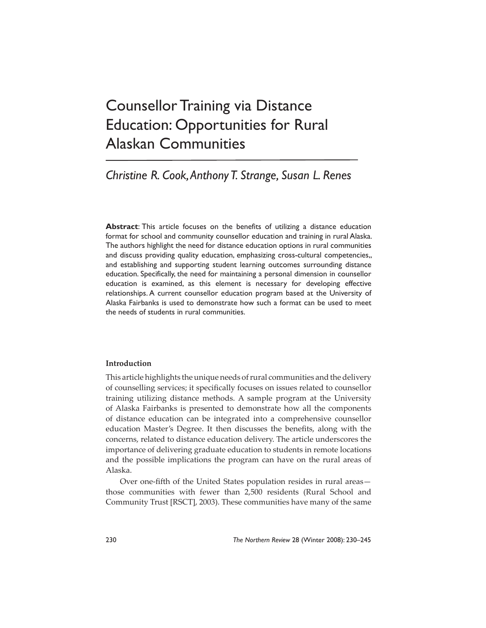# Counsellor Training via Distance Education: Opportunities for Rural Alaskan Communities

# *Christine R. Cook, Anthony T. Strange, Susan L. Renes*

**Abstract**: This article focuses on the benefits of utilizing a distance education format for school and community counsellor education and training in rural Alaska. The authors highlight the need for distance education options in rural communities and discuss providing quality education, emphasizing cross-cultural competencies,, and establishing and supporting student learning outcomes surrounding distance education. Specifically, the need for maintaining a personal dimension in counsellor education is examined, as this element is necessary for developing effective relationships. A current counsellor education program based at the University of Alaska Fairbanks is used to demonstrate how such a format can be used to meet the needs of students in rural communities.

# **Introduction**

This article highlights the unique needs of rural communities and the delivery of counselling services; it specifically focuses on issues related to counsellor training utilizing distance methods. A sample program at the University of Alaska Fairbanks is presented to demonstrate how all the components of distance education can be integrated into a comprehensive counsellor education Master's Degree. It then discusses the benefits, along with the concerns, related to distance education delivery. The article underscores the importance of delivering graduate education to students in remote locations and the possible implications the program can have on the rural areas of Alaska.

Over one-fifth of the United States population resides in rural areasthose communities with fewer than 2,500 residents (Rural School and Community Trust [RSCT], 2003). These communities have many of the same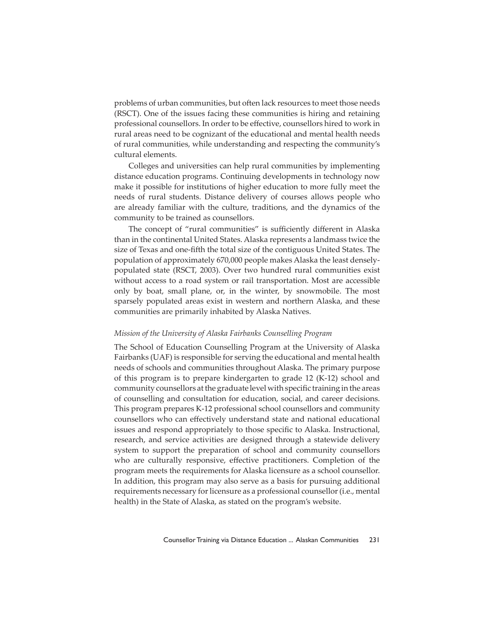problems of urban communities, but often lack resources to meet those needs (RSCT). One of the issues facing these communities is hiring and retaining professional counsellors. In order to be effective, counsellors hired to work in rural areas need to be cognizant of the educational and mental health needs of rural communities, while understanding and respecting the community's cultural elements.

Colleges and universities can help rural communities by implementing distance education programs. Continuing developments in technology now make it possible for institutions of higher education to more fully meet the needs of rural students. Distance delivery of courses allows people who are already familiar with the culture, traditions, and the dynamics of the community to be trained as counsellors.

The concept of "rural communities" is sufficiently different in Alaska than in the continental United States. Alaska represents a landmass twice the size of Texas and one-fifth the total size of the contiguous United States. The population of approximately 670,000 people makes Alaska the least denselypopulated state (RSCT, 2003). Over two hundred rural communities exist without access to a road system or rail transportation. Most are accessible only by boat, small plane, or, in the winter, by snowmobile. The most sparsely populated areas exist in western and northern Alaska, and these communities are primarily inhabited by Alaska Natives.

### *Mission of the University of Alaska Fairbanks Counselling Program*

The School of Education Counselling Program at the University of Alaska Fairbanks (UAF) is responsible for serving the educational and mental health needs of schools and communities throughout Alaska. The primary purpose of this program is to prepare kindergarten to grade 12 (K-12) school and community counsellors at the graduate level with specific training in the areas of counselling and consultation for education, social, and career decisions. This program prepares K-12 professional school counsellors and community counsellors who can effectively understand state and national educational issues and respond appropriately to those specific to Alaska. Instructional, research, and service activities are designed through a statewide delivery system to support the preparation of school and community counsellors who are culturally responsive, effective practitioners. Completion of the program meets the requirements for Alaska licensure as a school counsellor. In addition, this program may also serve as a basis for pursuing additional requirements necessary for licensure as a professional counsellor (i.e., mental health) in the State of Alaska, as stated on the program's website.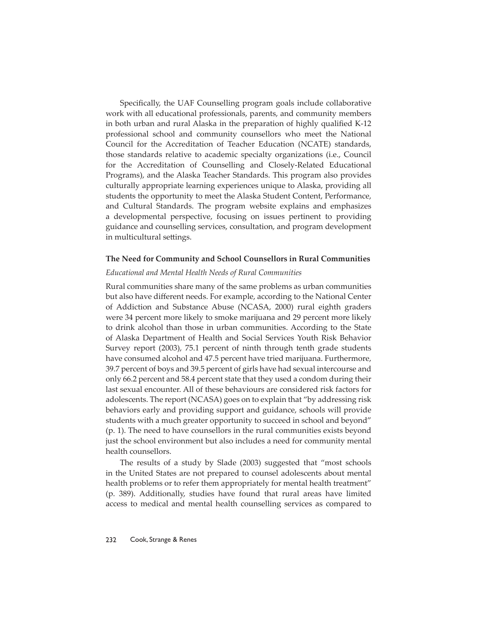Specifically, the UAF Counselling program goals include collaborative work with all educational professionals, parents, and community members in both urban and rural Alaska in the preparation of highly qualified K-12 professional school and community counsellors who meet the National Council for the Accreditation of Teacher Education (NCATE) standards, those standards relative to academic specialty organizations (i.e., Council for the Accreditation of Counselling and Closely-Related Educational Programs), and the Alaska Teacher Standards. This program also provides culturally appropriate learning experiences unique to Alaska, providing all students the opportunity to meet the Alaska Student Content, Performance, and Cultural Standards. The program website explains and emphasizes a developmental perspective, focusing on issues pertinent to providing guidance and counselling services, consultation, and program development in multicultural settings.

# **The Need for Community and School Counsellors in Rural Communities**

# *Educational and Mental Health Needs of Rural Communities*

Rural communities share many of the same problems as urban communities but also have different needs. For example, according to the National Center of Addiction and Substance Abuse (NCASA, 2000) rural eighth graders were 34 percent more likely to smoke marijuana and 29 percent more likely to drink alcohol than those in urban communities. According to the State of Alaska Department of Health and Social Services Youth Risk Behavior Survey report (2003), 75.1 percent of ninth through tenth grade students have consumed alcohol and 47.5 percent have tried marijuana. Furthermore, 39.7 percent of boys and 39.5 percent of girls have had sexual intercourse and only 66.2 percent and 58.4 percent state that they used a condom during their last sexual encounter. All of these behaviours are considered risk factors for adolescents. The report (NCASA) goes on to explain that "by addressing risk behaviors early and providing support and guidance, schools will provide students with a much greater opportunity to succeed in school and beyond" (p. 1). The need to have counsellors in the rural communities exists beyond just the school environment but also includes a need for community mental health counsellors.

The results of a study by Slade (2003) suggested that "most schools in the United States are not prepared to counsel adolescents about mental health problems or to refer them appropriately for mental health treatment" (p. 389). Additionally, studies have found that rural areas have limited access to medical and mental health counselling services as compared to

# 232 Cook, Strange & Renes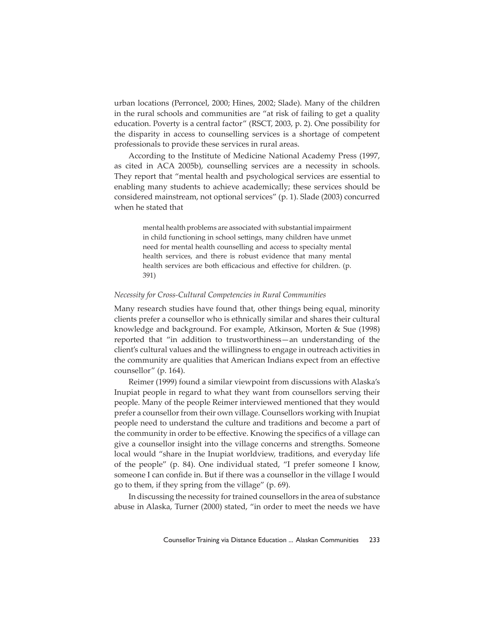urban locations (Perroncel, 2000; Hines, 2002; Slade). Many of the children in the rural schools and communities are "at risk of failing to get a quality education. Poverty is a central factor" (RSCT, 2003, p. 2). One possibility for the disparity in access to counselling services is a shortage of competent professionals to provide these services in rural areas.

According to the Institute of Medicine National Academy Press (1997, as cited in ACA 2005b), counselling services are a necessity in schools. They report that "mental health and psychological services are essential to enabling many students to achieve academically; these services should be considered mainstream, not optional services" (p. 1). Slade (2003) concurred when he stated that

> mental health problems are associated with substantial impairment in child functioning in school settings, many children have unmet need for mental health counselling and access to specialty mental health services, and there is robust evidence that many mental health services are both efficacious and effective for children. (p. 391)

#### *Necessity for Cross-Cultural Competencies in Rural Communities*

Many research studies have found that, other things being equal, minority clients prefer a counsellor who is ethnically similar and shares their cultural knowledge and background. For example, Atkinson, Morten & Sue (1998) reported that "in addition to trustworthiness—an understanding of the client's cultural values and the willingness to engage in outreach activities in the community are qualities that American Indians expect from an effective counsellor" (p. 164).

Reimer (1999) found a similar viewpoint from discussions with Alaska's Inupiat people in regard to what they want from counsellors serving their people. Many of the people Reimer interviewed mentioned that they would prefer a counsellor from their own village. Counsellors working with Inupiat people need to understand the culture and traditions and become a part of the community in order to be effective. Knowing the specifics of a village can give a counsellor insight into the village concerns and strengths. Someone local would "share in the Inupiat worldview, traditions, and everyday life of the people" (p. 84). One individual stated, "I prefer someone I know, someone I can confide in. But if there was a counsellor in the village I would go to them, if they spring from the village" (p. 69).

In discussing the necessity for trained counsellors in the area of substance abuse in Alaska, Turner (2000) stated, "in order to meet the needs we have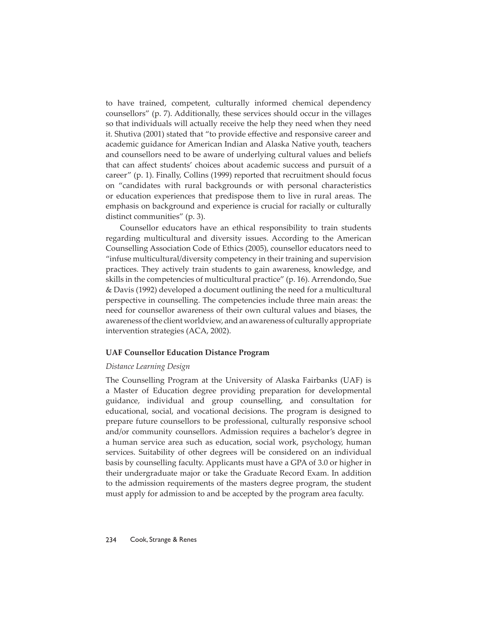to have trained, competent, culturally informed chemical dependency counsellors" (p. 7). Additionally, these services should occur in the villages so that individuals will actually receive the help they need when they need it. Shutiva (2001) stated that "to provide effective and responsive career and academic guidance for American Indian and Alaska Native youth, teachers and counsellors need to be aware of underlying cultural values and beliefs that can affect students' choices about academic success and pursuit of a career" (p. 1). Finally, Collins (1999) reported that recruitment should focus on "candidates with rural backgrounds or with personal characteristics or education experiences that predispose them to live in rural areas. The emphasis on background and experience is crucial for racially or culturally distinct communities" (p. 3).

Counsellor educators have an ethical responsibility to train students regarding multicultural and diversity issues. According to the American Counselling Association Code of Ethics (2005), counsellor educators need to "infuse multicultural/diversity competency in their training and supervision practices. They actively train students to gain awareness, knowledge, and skills in the competencies of multicultural practice" (p. 16). Arrendondo, Sue & Davis (1992) developed a document outlining the need for a multicultural perspective in counselling. The competencies include three main areas: the need for counsellor awareness of their own cultural values and biases, the awareness of the client worldview, and an awareness of culturally appropriate intervention strategies (ACA, 2002).

### **UAF Counsellor Education Distance Program**

### *Distance Learning Design*

The Counselling Program at the University of Alaska Fairbanks (UAF) is a Master of Education degree providing preparation for developmental guidance, individual and group counselling, and consultation for educational, social, and vocational decisions. The program is designed to prepare future counsellors to be professional, culturally responsive school and/or community counsellors. Admission requires a bachelor's degree in a human service area such as education, social work, psychology, human services. Suitability of other degrees will be considered on an individual basis by counselling faculty. Applicants must have a GPA of 3.0 or higher in their undergraduate major or take the Graduate Record Exam. In addition to the admission requirements of the masters degree program, the student must apply for admission to and be accepted by the program area faculty.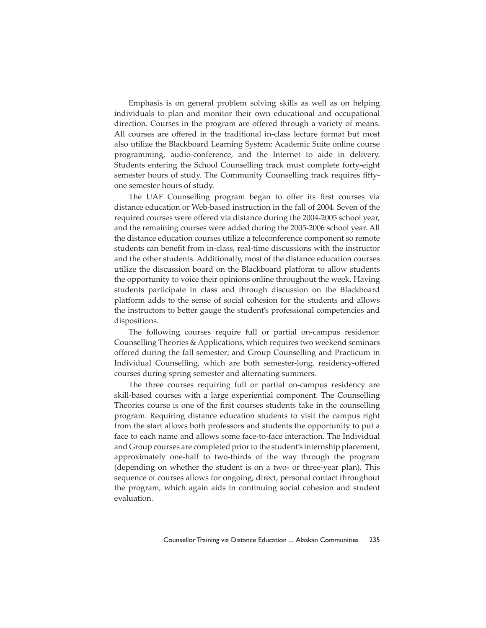Emphasis is on general problem solving skills as well as on helping individuals to plan and monitor their own educational and occupational direction. Courses in the program are offered through a variety of means. All courses are offered in the traditional in-class lecture format but most also utilize the Blackboard Learning System: Academic Suite online course programming, audio-conference, and the Internet to aide in delivery. Students entering the School Counselling track must complete forty-eight semester hours of study. The Community Counselling track requires fiftyone semester hours of study.

The UAF Counselling program began to offer its first courses via distance education or Web-based instruction in the fall of 2004. Seven of the required courses were offered via distance during the 2004-2005 school year, and the remaining courses were added during the 2005-2006 school year. All the distance education courses utilize a teleconference component so remote students can benefit from in-class, real-time discussions with the instructor and the other students. Additionally, most of the distance education courses utilize the discussion board on the Blackboard platform to allow students the opportunity to voice their opinions online throughout the week. Having students participate in class and through discussion on the Blackboard platform adds to the sense of social cohesion for the students and allows the instructors to better gauge the student's professional competencies and dispositions.

The following courses require full or partial on-campus residence: Counselling Theories & Applications, which requires two weekend seminars offered during the fall semester; and Group Counselling and Practicum in Individual Counselling, which are both semester-long, residency-offered courses during spring semester and alternating summers.

The three courses requiring full or partial on-campus residency are skill-based courses with a large experiential component. The Counselling Theories course is one of the first courses students take in the counselling program. Requiring distance education students to visit the campus right from the start allows both professors and students the opportunity to put a face to each name and allows some face-to-face interaction. The Individual and Group courses are completed prior to the student's internship placement, approximately one-half to two-thirds of the way through the program (depending on whether the student is on a two- or three-year plan). This sequence of courses allows for ongoing, direct, personal contact throughout the program, which again aids in continuing social cohesion and student evaluation.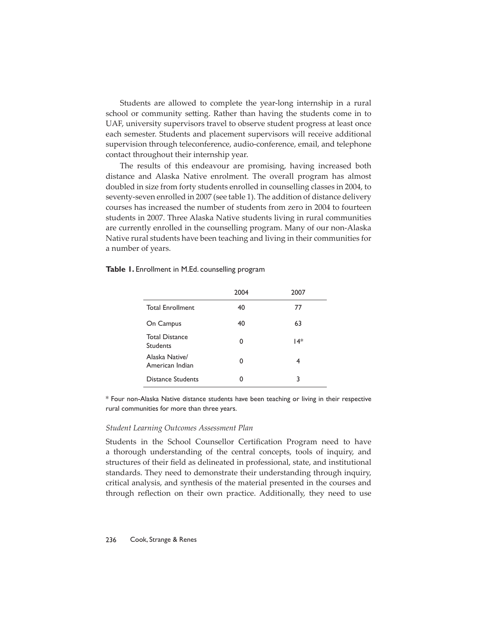Students are allowed to complete the year-long internship in a rural school or community setting. Rather than having the students come in to UAF, university supervisors travel to observe student progress at least once each semester. Students and placement supervisors will receive additional supervision through teleconference, audio-conference, email, and telephone contact throughout their internship year.

The results of this endeavour are promising, having increased both distance and Alaska Native enrolment. The overall program has almost doubled in size from forty students enrolled in counselling classes in 2004, to seventy-seven enrolled in 2007 (see table 1). The addition of distance delivery courses has increased the number of students from zero in 2004 to fourteen students in 2007. Three Alaska Native students living in rural communities are currently enrolled in the counselling program. Many of our non-Alaska Native rural students have been teaching and living in their communities for a number of years.

|                                          | 2004 | 2007  |
|------------------------------------------|------|-------|
| <b>Total Enrollment</b>                  | 40   | 77    |
| On Campus                                | 40   | 63    |
| <b>Total Distance</b><br><b>Students</b> | 0    | $14*$ |
| Alaska Native/<br>American Indian        | 0    | 4     |
| Distance Students                        | ი    | 3     |

\* Four non-Alaska Native distance students have been teaching or living in their respective rural communities for more than three years.

Ī

# *Student Learning Outcomes Assessment Plan*

Students in the School Counsellor Certification Program need to have a thorough understanding of the central concepts, tools of inquiry, and structures of their field as delineated in professional, state, and institutional standards. They need to demonstrate their understanding through inquiry, critical analysis, and synthesis of the material presented in the courses and through reflection on their own practice. Additionally, they need to use

# 236 Cook, Strange & Renes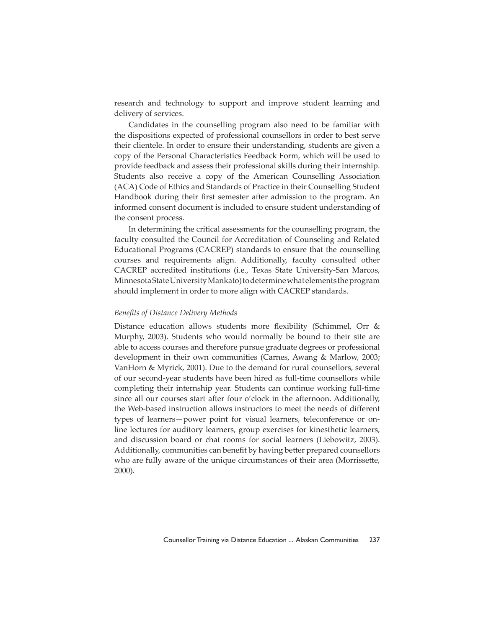research and technology to support and improve student learning and delivery of services.

Candidates in the counselling program also need to be familiar with the dispositions expected of professional counsellors in order to best serve their clientele. In order to ensure their understanding, students are given a copy of the Personal Characteristics Feedback Form, which will be used to provide feedback and assess their professional skills during their internship. Students also receive a copy of the American Counselling Association (ACA) Code of Ethics and Standards of Practice in their Counselling Student Handbook during their first semester after admission to the program. An informed consent document is included to ensure student understanding of the consent process.

In determining the critical assessments for the counselling program, the faculty consulted the Council for Accreditation of Counseling and Related Educational Programs (CACREP) standards to ensure that the counselling courses and requirements align. Additionally, faculty consulted other CACREP accredited institutions (i.e., Texas State University-San Marcos, Minnesota State University Mankato) to determine what elements the program should implement in order to more align with CACREP standards.

# *Benefi ts of Distance Delivery Methods*

Distance education allows students more flexibility (Schimmel, Orr & Murphy, 2003). Students who would normally be bound to their site are able to access courses and therefore pursue graduate degrees or professional development in their own communities (Carnes, Awang & Marlow, 2003; VanHorn & Myrick, 2001). Due to the demand for rural counsellors, several of our second-year students have been hired as full-time counsellors while completing their internship year. Students can continue working full-time since all our courses start after four o'clock in the afternoon. Additionally, the Web-based instruction allows instructors to meet the needs of different types of learners—power point for visual learners, teleconference or online lectures for auditory learners, group exercises for kinesthetic learners, and discussion board or chat rooms for social learners (Liebowitz, 2003). Additionally, communities can benefit by having better prepared counsellors who are fully aware of the unique circumstances of their area (Morrissette, 2000).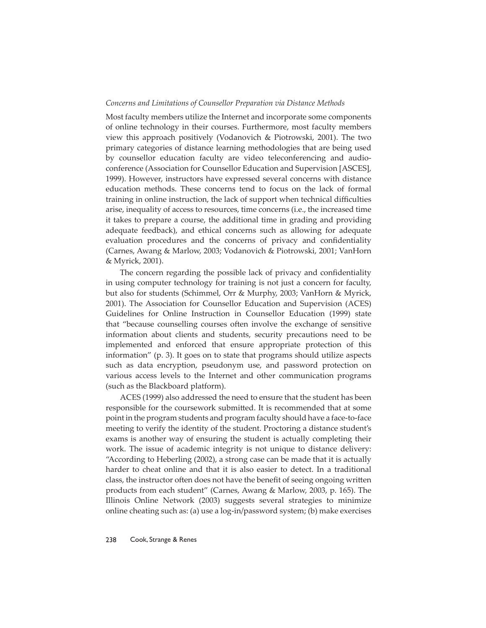# *Concerns and Limitations of Counsellor Preparation via Distance Methods*

Most faculty members utilize the Internet and incorporate some components of online technology in their courses. Furthermore, most faculty members view this approach positively (Vodanovich & Piotrowski, 2001). The two primary categories of distance learning methodologies that are being used by counsellor education faculty are video teleconferencing and audioconference (Association for Counsellor Education and Supervision [ASCES], 1999). However, instructors have expressed several concerns with distance education methods. These concerns tend to focus on the lack of formal training in online instruction, the lack of support when technical difficulties arise, inequality of access to resources, time concerns (i.e., the increased time it takes to prepare a course, the additional time in grading and providing adequate feedback), and ethical concerns such as allowing for adequate evaluation procedures and the concerns of privacy and confidentiality (Carnes, Awang & Marlow, 2003; Vodanovich & Piotrowski, 2001; VanHorn & Myrick, 2001).

The concern regarding the possible lack of privacy and confidentiality in using computer technology for training is not just a concern for faculty, but also for students (Schimmel, Orr & Murphy, 2003; VanHorn & Myrick, 2001). The Association for Counsellor Education and Supervision (ACES) Guidelines for Online Instruction in Counsellor Education (1999) state that "because counselling courses often involve the exchange of sensitive information about clients and students, security precautions need to be implemented and enforced that ensure appropriate protection of this information" (p. 3). It goes on to state that programs should utilize aspects such as data encryption, pseudonym use, and password protection on various access levels to the Internet and other communication programs (such as the Blackboard platform).

ACES (1999) also addressed the need to ensure that the student has been responsible for the coursework submitted. It is recommended that at some point in the program students and program faculty should have a face-to-face meeting to verify the identity of the student. Proctoring a distance student's exams is another way of ensuring the student is actually completing their work. The issue of academic integrity is not unique to distance delivery: "According to Heberling (2002), a strong case can be made that it is actually harder to cheat online and that it is also easier to detect. In a traditional class, the instructor often does not have the benefit of seeing ongoing written products from each student" (Carnes, Awang & Marlow, 2003, p. 165). The Illinois Online Network (2003) suggests several strategies to minimize online cheating such as: (a) use a log-in/password system; (b) make exercises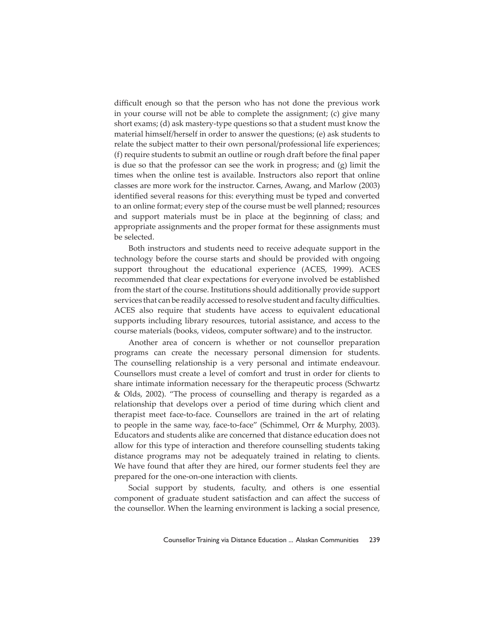difficult enough so that the person who has not done the previous work in your course will not be able to complete the assignment; (c) give many short exams; (d) ask mastery-type questions so that a student must know the material himself/herself in order to answer the questions; (e) ask students to relate the subject matter to their own personal/professional life experiences; (f) require students to submit an outline or rough draft before the final paper is due so that the professor can see the work in progress; and (g) limit the times when the online test is available. Instructors also report that online classes are more work for the instructor. Carnes, Awang, and Marlow (2003) identified several reasons for this: everything must be typed and converted to an online format; every step of the course must be well planned; resources and support materials must be in place at the beginning of class; and appropriate assignments and the proper format for these assignments must be selected.

Both instructors and students need to receive adequate support in the technology before the course starts and should be provided with ongoing support throughout the educational experience (ACES, 1999). ACES recommended that clear expectations for everyone involved be established from the start of the course. Institutions should additionally provide support services that can be readily accessed to resolve student and faculty difficulties. ACES also require that students have access to equivalent educational supports including library resources, tutorial assistance, and access to the course materials (books, videos, computer software) and to the instructor.

Another area of concern is whether or not counsellor preparation programs can create the necessary personal dimension for students. The counselling relationship is a very personal and intimate endeavour. Counsellors must create a level of comfort and trust in order for clients to share intimate information necessary for the therapeutic process (Schwartz & Olds, 2002). "The process of counselling and therapy is regarded as a relationship that develops over a period of time during which client and therapist meet face-to-face. Counsellors are trained in the art of relating to people in the same way, face-to-face" (Schimmel, Orr & Murphy, 2003). Educators and students alike are concerned that distance education does not allow for this type of interaction and therefore counselling students taking distance programs may not be adequately trained in relating to clients. We have found that after they are hired, our former students feel they are prepared for the one-on-one interaction with clients.

Social support by students, faculty, and others is one essential component of graduate student satisfaction and can affect the success of the counsellor. When the learning environment is lacking a social presence,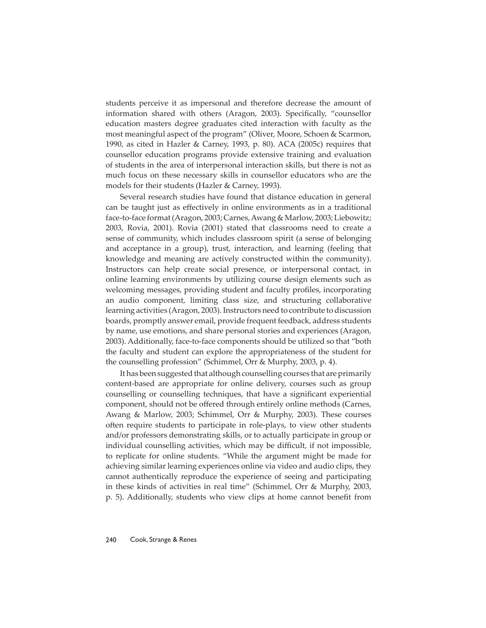students perceive it as impersonal and therefore decrease the amount of information shared with others (Aragon, 2003). Specifically, "counsellor education masters degree graduates cited interaction with faculty as the most meaningful aspect of the program" (Oliver, Moore, Schoen & Scarmon, 1990, as cited in Hazler & Carney, 1993, p. 80). ACA (2005c) requires that counsellor education programs provide extensive training and evaluation of students in the area of interpersonal interaction skills, but there is not as much focus on these necessary skills in counsellor educators who are the models for their students (Hazler & Carney, 1993).

Several research studies have found that distance education in general can be taught just as effectively in online environments as in a traditional face-to-face format (Aragon, 2003; Carnes, Awang & Marlow, 2003; Liebowitz; 2003, Rovia, 2001). Rovia (2001) stated that classrooms need to create a sense of community, which includes classroom spirit (a sense of belonging and acceptance in a group), trust, interaction, and learning (feeling that knowledge and meaning are actively constructed within the community). Instructors can help create social presence, or interpersonal contact, in online learning environments by utilizing course design elements such as welcoming messages, providing student and faculty profiles, incorporating an audio component, limiting class size, and structuring collaborative learning activities (Aragon, 2003). Instructors need to contribute to discussion boards, promptly answer email, provide frequent feedback, address students by name, use emotions, and share personal stories and experiences (Aragon, 2003). Additionally, face-to-face components should be utilized so that "both the faculty and student can explore the appropriateness of the student for the counselling profession" (Schimmel, Orr & Murphy, 2003, p. 4).

It has been suggested that although counselling courses that are primarily content-based are appropriate for online delivery, courses such as group counselling or counselling techniques, that have a significant experiential component, should not be offered through entirely online methods (Carnes, Awang & Marlow, 2003; Schimmel, Orr & Murphy, 2003). These courses often require students to participate in role-plays, to view other students and/or professors demonstrating skills, or to actually participate in group or individual counselling activities, which may be difficult, if not impossible, to replicate for online students. "While the argument might be made for achieving similar learning experiences online via video and audio clips, they cannot authentically reproduce the experience of seeing and participating in these kinds of activities in real time" (Schimmel, Orr & Murphy, 2003, p. 5). Additionally, students who view clips at home cannot benefit from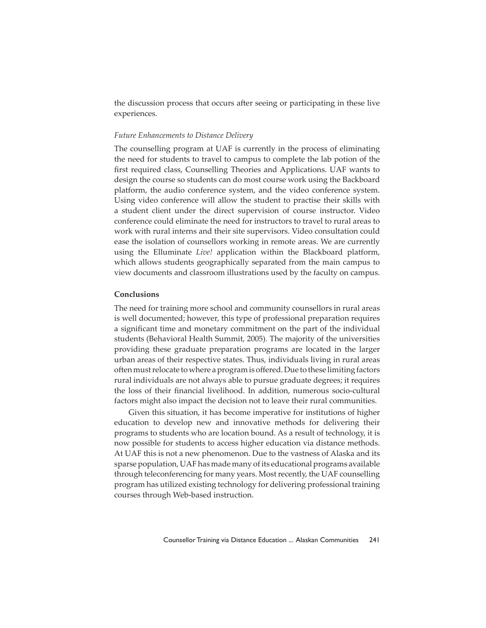the discussion process that occurs after seeing or participating in these live experiences.

# *Future Enhancements to Distance Delivery*

The counselling program at UAF is currently in the process of eliminating the need for students to travel to campus to complete the lab potion of the first required class, Counselling Theories and Applications. UAF wants to design the course so students can do most course work using the Backboard platform, the audio conference system, and the video conference system. Using video conference will allow the student to practise their skills with a student client under the direct supervision of course instructor. Video conference could eliminate the need for instructors to travel to rural areas to work with rural interns and their site supervisors. Video consultation could ease the isolation of counsellors working in remote areas. We are currently using the Elluminate *Live!* application within the Blackboard platform, which allows students geographically separated from the main campus to view documents and classroom illustrations used by the faculty on campus.

# **Conclusions**

The need for training more school and community counsellors in rural areas is well documented; however, this type of professional preparation requires a significant time and monetary commitment on the part of the individual students (Behavioral Health Summit, 2005). The majority of the universities providing these graduate preparation programs are located in the larger urban areas of their respective states. Thus, individuals living in rural areas often must relocate to where a program is offered. Due to these limiting factors rural individuals are not always able to pursue graduate degrees; it requires the loss of their financial livelihood. In addition, numerous socio-cultural factors might also impact the decision not to leave their rural communities.

Given this situation, it has become imperative for institutions of higher education to develop new and innovative methods for delivering their programs to students who are location bound. As a result of technology, it is now possible for students to access higher education via distance methods. At UAF this is not a new phenomenon. Due to the vastness of Alaska and its sparse population, UAF has made many of its educational programs available through teleconferencing for many years. Most recently, the UAF counselling program has utilized existing technology for delivering professional training courses through Web-based instruction.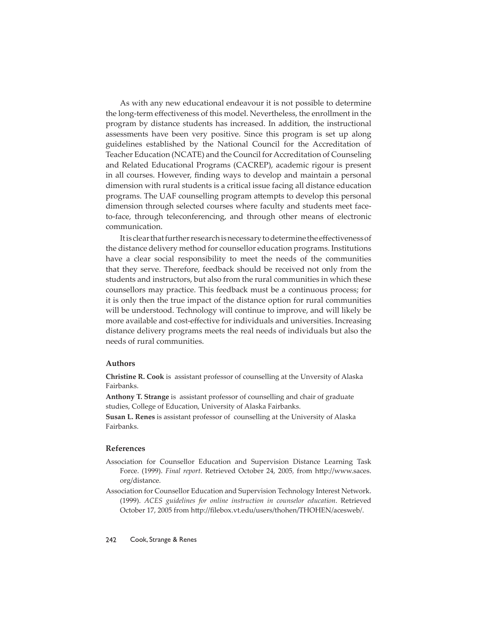As with any new educational endeavour it is not possible to determine the long-term effectiveness of this model. Nevertheless, the enrollment in the program by distance students has increased. In addition, the instructional assessments have been very positive. Since this program is set up along guidelines established by the National Council for the Accreditation of Teacher Education (NCATE) and the Council for Accreditation of Counseling and Related Educational Programs (CACREP), academic rigour is present in all courses. However, finding ways to develop and maintain a personal dimension with rural students is a critical issue facing all distance education programs. The UAF counselling program attempts to develop this personal dimension through selected courses where faculty and students meet faceto-face, through teleconferencing, and through other means of electronic communication.

It is clear that further research is necessary to determine the effectiveness of the distance delivery method for counsellor education programs. Institutions have a clear social responsibility to meet the needs of the communities that they serve. Therefore, feedback should be received not only from the students and instructors, but also from the rural communities in which these counsellors may practice. This feedback must be a continuous process; for it is only then the true impact of the distance option for rural communities will be understood. Technology will continue to improve, and will likely be more available and cost-effective for individuals and universities. Increasing distance delivery programs meets the real needs of individuals but also the needs of rural communities.

### **Authors**

**Christine R. Cook** is assistant professor of counselling at the Unversity of Alaska Fairbanks.

**Anthony T. Strange** is assistant professor of counselling and chair of graduate studies, College of Education, University of Alaska Fairbanks.

**Susan L. Renes** is assistant professor of counselling at the University of Alaska Fairbanks.

# **References**

- Association for Counsellor Education and Supervision Distance Learning Task Force. (1999). *Final report*. Retrieved October 24, 2005, from http://www.saces. org/distance.
- Association for Counsellor Education and Supervision Technology Interest Network. (1999). *ACES guidelines for online instruction in counselor education*. Retrieved October 17, 2005 from http://filebox.vt.edu/users/thohen/THOHEN/acesweb/.

# 242 Cook, Strange & Renes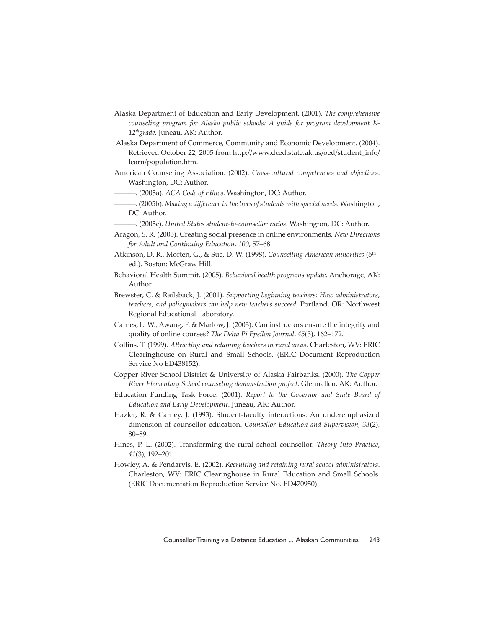- Alaska Department of Education and Early Development. (2001). *The comprehensive counseling program for Alaska public schools: A guide for program development K-12thgrade.* Juneau, AK: Author.
- Alaska Department of Commerce, Community and Economic Development. (2004). Retrieved October 22, 2005 from http://www.dced.state.ak.us/oed/student\_info/ learn/population.htm.
- American Counseling Association. (2002). *Cross-cultural competencies and objectives*. Washington, DC: Author.
	- ———. (2005a). *ACA Code of Ethics*. Washington, DC: Author.
- ———. (2005b). *Making a diff erence in the lives of students with special needs.* Washington, DC: Author.
- ———. (2005c). *United States student-to-counsellor ratios*. Washington, DC: Author.
- Aragon, S. R. (2003). Creating social presence in online environments*. New Directions for Adult and Continuing Education*, *100*, 57–68.
- Atkinson, D. R., Morten, G., & Sue, D. W. (1998). *Counselling American minorities* (5th ed.). Boston: McGraw Hill.
- Behavioral Health Summit. (2005). *Behavioral health programs update*. Anchorage, AK: Author.
- Brewster, C. & Railsback, J. (2001). *Supporting beginning teachers: How administrators, teachers, and policymakers can help new teachers succeed*. Portland, OR: Northwest Regional Educational Laboratory.
- Carnes, L. W., Awang, F. & Marlow, J. (2003). Can instructors ensure the integrity and quality of online courses? *The Delta Pi Epsilon Journal*, *45*(3), 162–172.
- Collins, T. (1999). *Att racting and retaining teachers in rural areas*. Charleston, WV: ERIC Clearinghouse on Rural and Small Schools. (ERIC Document Reproduction Service No ED438152).
- Copper River School District & University of Alaska Fairbanks. (2000). *The Copper River Elementary School counseling demonstration project*. Glennallen, AK: Author.
- Education Funding Task Force. (2001). *Report to the Governor and State Board of Education and Early Development*. Juneau, AK: Author.
- Hazler, R. & Carney, J. (1993). Student-faculty interactions: An underemphasized dimension of counsellor education. *Counsellor Education and Supervision*, *33*(2), 80–89.
- Hines, P. L. (2002). Transforming the rural school counsellor. *Theory Into Practice*, *41*(3), 192–201.
- Howley, A. & Pendarvis, E. (2002). *Recruiting and retaining rural school administrators*. Charleston, WV: ERIC Clearinghouse in Rural Education and Small Schools. (ERIC Documentation Reproduction Service No. ED470950).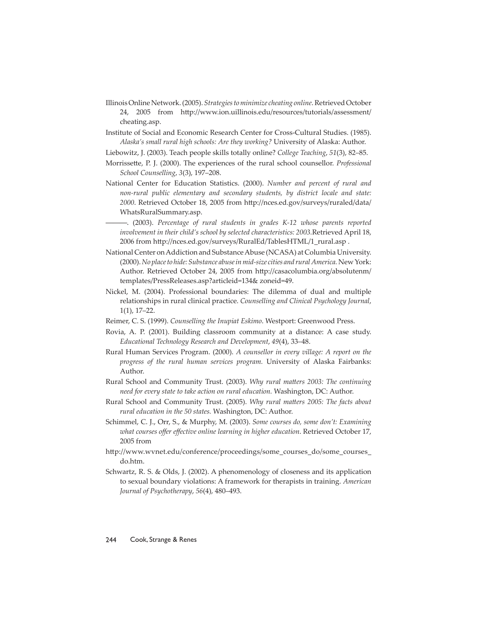- Illinois Online Network. (2005). *Strategies to minimize cheating online*. Retrieved October 24, 2005 from http://www.ion.uillinois.edu/resources/tutorials/assessment/ cheating.asp.
- Institute of Social and Economic Research Center for Cross-Cultural Studies. (1985). *Alaska's small rural high schools: Are they working?* University of Alaska: Author.
- Liebowitz, J. (2003). Teach people skills totally online? *College Teaching*, *51*(3), 82–85.
- Morrissette, P. J. (2000). The experiences of the rural school counsellor. *Professional School Counselling*, *3*(3), 197–208.
- National Center for Education Statistics. (2000). *Number and percent of rural and non-rural public elementary and secondary students, by district locale and state:*  2000. Retrieved October 18, 2005 from http://nces.ed.gov/surveys/ruraled/data/ WhatsRuralSummary.asp.
	- ———. (2003). *Percentage of rural students in grades K-12 whose parents reported involvement in their child's school by selected characteristics: 2003.*Retrieved April 18, 2006 from http://nces.ed.gov/surveys/RuralEd/TablesHTML/1\_rural.asp.
- National Center on Addiction and Substance Abuse (NCASA) at Columbia University. (2000). *No place to hide: Substance abuse in mid-size cities and rural America.* New York: Author. Retrieved October 24, 2005 from http://casacolumbia.org/absolutenm/ templates/PressReleases.asp?articleid=134& zoneid=49.
- Nickel, M. (2004). Professional boundaries: The dilemma of dual and multiple relationships in rural clinical practice. *Counselling and Clinical Psychology Journal*, 1(1), 17–22.
- Reimer, C. S. (1999). *Counselling the Inupiat Eskimo*. Westport: Greenwood Press.
- Rovia, A. P. (2001). Building classroom community at a distance: A case study. *Educational Technology Research and Development*, *49*(4), 33–48.
- Rural Human Services Program. (2000). *A counsellor in every village: A report on the progress of the rural human services program.* University of Alaska Fairbanks: Author.
- Rural School and Community Trust. (2003). *Why rural matters 2003: The continuing need for every state to take action on rural education.* Washington, DC: Author.
- Rural School and Community Trust. (2005). *Why rural matters 2005: The facts about rural education in the 50 states.* Washington, DC: Author.
- Schimmel, C. J., Orr, S., & Murphy, M. (2003). *Some courses do, some don't: Examining what courses off er eff ective online learning in higher education*. Retrieved October 17, 2005 from
- htt p://www.wvnet.edu/conference/proceedings/some\_courses\_do/some\_courses\_ do.htm.
- Schwartz, R. S. & Olds, J. (2002). A phenomenology of closeness and its application to sexual boundary violations: A framework for therapists in training. *American Journal of Psychotherapy*, *56*(4), 480–493.